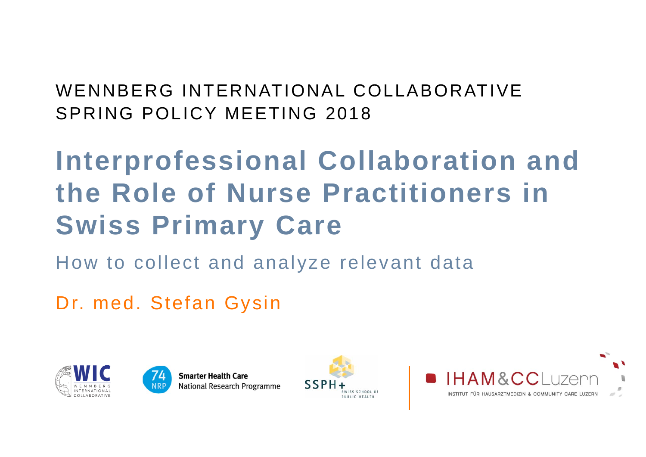### WENNBERG INTERNATIONAL COLLABORATIVESPRING POLICY MEETING 2018

# **Interprofessional Collaboration and the Role of Nurse Practitioners in Swiss Primary Care**

How to collect and analyze relevant data

Dr. med. Stefan Gysin







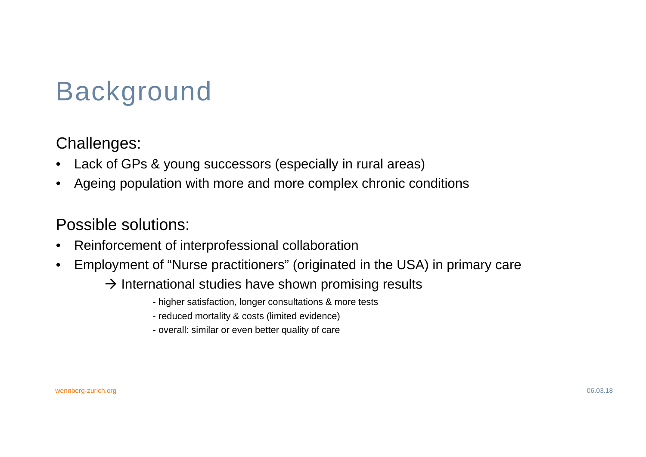# Background

#### Challenges:

- •Lack of GPs & young successors (especially in rural areas)
- •Ageing population with more and more complex chronic conditions

#### Possible solutions:

- •Reinforcement of interprofessional collaboration
- • Employment of "Nurse practitioners" (originated in the USA) in primary care
	- $\rightarrow$  International studies have shown promising results
		- higher satisfaction, longer consultations & more tests
		- reduced mortality & costs (limited evidence)
		- overall: similar or even better quality of care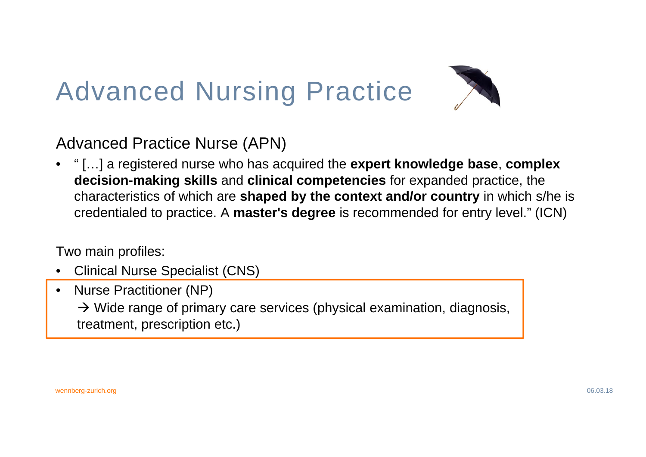# Advanced Nursing Practice



Advanced Practice Nurse (APN)

• " […] a registered nurse who has acquired the **expert knowledge base**, **complex decision-making skills** and **clinical competencies** for expanded practice, the characteristics of which are **shaped by the context and/or country** in which s/he is credentialed to practice. A **master's degree** is recommended for entry level." (ICN)

Two main profiles:

- •Clinical Nurse Specialist (CNS)
- • Nurse Practitioner (NP)  $\rightarrow$  Wide range of primary care services (physical examination, diagnosis, treatment, prescription etc.)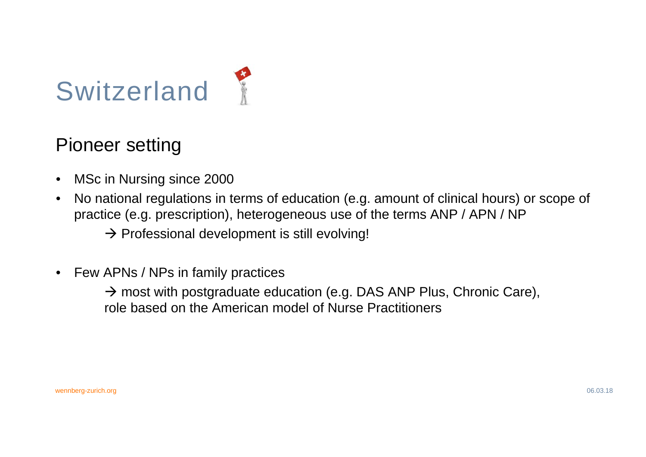

### Pioneer setting

- •MSc in Nursing since 2000
- • No national regulations in terms of education (e.g. amount of clinical hours) or scope of practice (e.g. prescription), heterogeneous use of the terms ANP / APN / NP
	- $\rightarrow$  Professional development is still evolving!
- $\bullet$ Few APNs / NPs in family practices

 $\rightarrow$  most with postgraduate education (e.g. DAS ANP Plus, Chronic Care), role based on the American model of Nurse Practitioners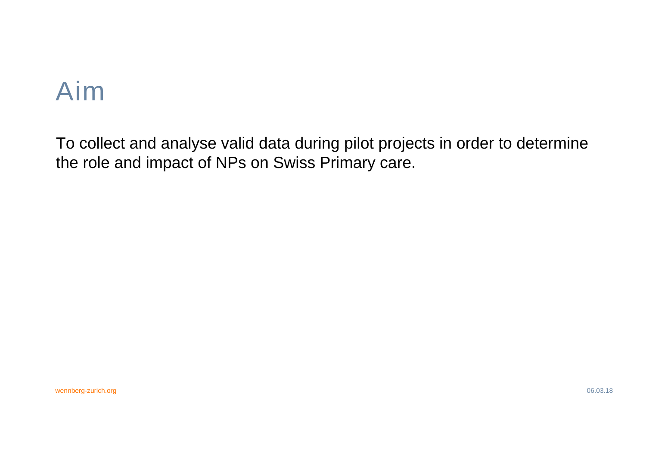## Aim

To collect and analyse valid data during pilot projects in order to determine the role and impact of NPs on Swiss Primary care.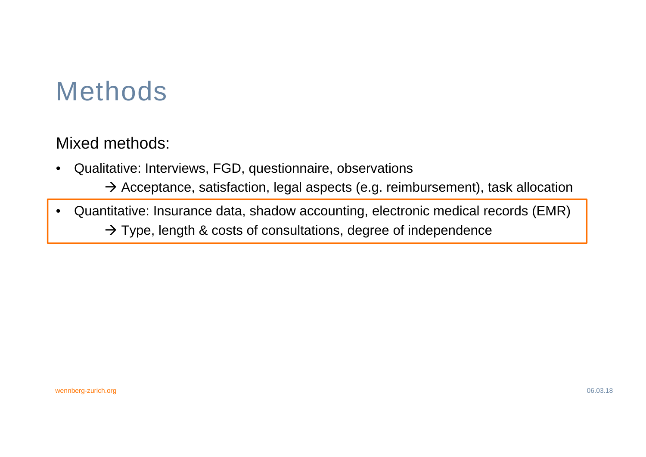## Methods

Mixed methods:

- $\bullet$  Qualitative: Interviews, FGD, questionnaire, observations
	- $\rightarrow$  Acceptance, satisfaction, legal aspects (e.g. reimbursement), task allocation
- • Quantitative: Insurance data, shadow accounting, electronic medical records (EMR)  $\rightarrow$  Type, length & costs of consultations, degree of independence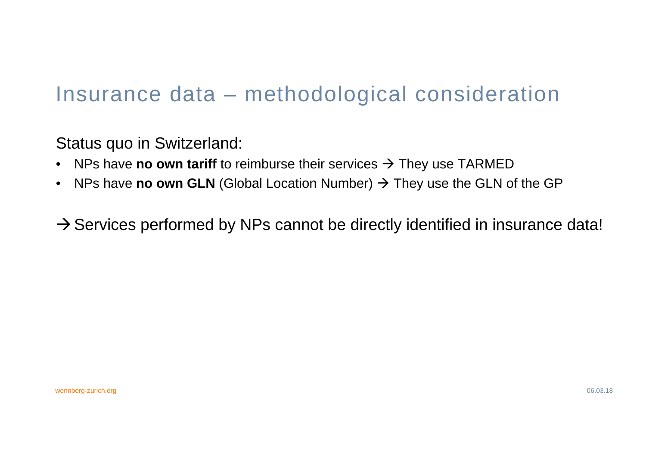### Insurance data – methodological consideration

Status quo in Switzerland:

- $\bullet$ NPs have **no own tariff** to reimburse their services  $\rightarrow$  They use TARMED
- •NPs have **no own GLN** (Global Location Number) → They use the GLN of the GP

 $\rightarrow$  Services performed by NPs cannot be directly identified in insurance data!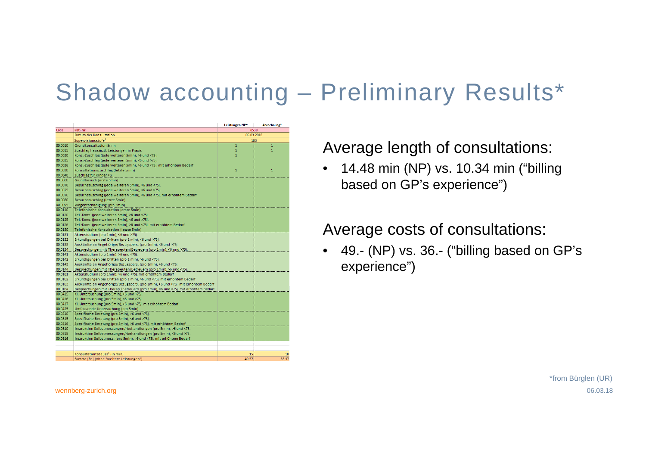### Shadow accounting – Preliminary Results\*

|         |                                                                                  | Leistungen NP* | Abrechnung <sup>*</sup> |
|---------|----------------------------------------------------------------------------------|----------------|-------------------------|
| Code    | Pat.-Nr.                                                                         | 8530           |                         |
|         | Datum der Konsultation                                                           | 05.03.2018     |                         |
|         | Supervisionsstufe <sup>1</sup>                                                   | 103            |                         |
| 00.0010 | <b>Grundkonsultation 5min</b>                                                    | $\mathbf{1}$   | 1                       |
| 00.0015 | Zuschlag hausärztl. Leistungen in Praxis                                         | $\mathbf{1}$   | $\overline{1}$          |
| 00.0020 | Kons.-Zuschlag (jede weiteren 5min), >6 und <75j.                                | $\mathbf{1}$   |                         |
| 00.0025 | Kons.-Zuschlag (jede weiteren 5min), <6 und >75j.                                |                |                         |
| 00.0026 | Kons.-Zuschlag (jede weiteren 5min), >6 und <75j, mit erhöhtem Bedarf            |                |                         |
| 00.0030 | Konsultationszuschlag (letzte 5min)                                              | $\mathbf{1}$   | $\overline{1}$          |
| 00.0040 | Zuschlag für Kinder <6j.                                                         |                |                         |
| 00.0060 | Grundbesuch (erste 5min)                                                         |                |                         |
| 00.0070 | Besuchszuschlag (jede weiteren 5min), >6 und <75j.                               |                |                         |
| 00.0075 | Besuchszuschlag (jede weiteren 5min), <6 und >75i.                               |                |                         |
| 00.0076 | Besuchszuschlag (jede weiteren 5min), >6 und <75j. mit erhöhtem Bedarf           |                |                         |
| 00.0080 | Besuchszuschlag (letzte 5min)                                                    |                |                         |
| 00.0095 | Wegentschädigung (pro 5min)                                                      |                |                         |
| 00.0110 | Telefonische Konsultation (erste 5min)                                           |                |                         |
| 00.0120 | Tel.-Kons. (jede weiteren 5min), >6 und <75j.                                    |                |                         |
| 00.0125 | Tel.-Kons. (jede weiteren 5min), <6 und >75j.                                    |                |                         |
| 00.0126 | Tel.-Kons. (jede weiteren 5min), >6 und <75j. mit erhöhtem Bedarf                |                |                         |
| 00.0130 | Telefonische Konsultation (letzte 5min)                                          |                |                         |
| 00.0131 | Aktenstudium (pro 1min), <6 und >75j.                                            |                |                         |
| 00.0132 | Erkundigungen bei Dritten (pro 1 min), <6 und >75j.                              |                |                         |
| 00.0133 | Auskünfte an Angehörige/Bezugspers. (pro 1min), <6 und >75j.                     |                |                         |
| 00.0134 | Besprechungen mit Therapeuten/Betreuern (pro 1min), <6 und >75j.                 |                |                         |
| 00.0141 | Aktenstudium (pro 1min), >6 und <75j.                                            |                |                         |
| 00.0142 | Erkundigungen bei Dritten (pro 1 min), >6 und <75j.                              |                |                         |
| 00.0143 | Auskünfte an Angehörige/Bezugspers. (pro 1min), >6 und <75j.                     |                |                         |
| 00.0144 | Besprechungen mit Therapeuten/Betreuern (pro 1min), >6 und <75j.                 |                |                         |
| 00.0161 | Aktenstudium (pro 1min), >6 und <75j. mit erhöhtem Bedarf                        |                |                         |
| 00.0162 | Erkundigungen bei Dritten (pro 1 min), >6 und <75j, mit erhöhtem Bedarf          |                |                         |
| 00.0163 | Auskünfte an Angehörige/Bezugspers. (pro 1min), >6 und <75j. mit erhöhtem Bedarf |                |                         |
| 00.0164 | Besprechungen mit Therap./Betreuern (pro 1min), >6 und <75j. mit erhöhtem Bedarf |                |                         |
| 00.0415 | KI. Untersuchung (pro 5min), >6 und <75j.                                        |                |                         |
| 00.0416 | KI. Untersuchung (pro 5min), <6 und >75j.                                        |                |                         |
| 00.0417 | KI. Untersuchung (pro 5min), >6 und <75j. mit erhöhtem Bedarf                    |                |                         |
| 00.0425 | Umfassende Untersuchung (pro 5min)                                               |                |                         |
| 00.0510 | Spezifische Beratung (pro 5min), >6 und <75j.                                    |                |                         |
| 00.0515 | Spezifische Beratung (pro 5min), <6 und >75j.                                    |                |                         |
| 00.0516 | Spezifische Beratung (pro 5min), >6 und <75j. mit erhöhtem Bedarf                |                |                         |
| 00.0610 | Instruktion Selbstmessungen/-behandlungen (pro 5min), >6 und <75.                |                |                         |
| 00.0615 | Instruktion Selbstmessungen/-behandlungen (pro 5min), <6 und >75.                |                |                         |
| 00.0616 | Instruktion Selbstmess. (pro 5min), >6 und <75j. mit erhöhtem Bedarf             |                |                         |
|         |                                                                                  |                |                         |
|         |                                                                                  |                |                         |
|         | Konsultationsdauer <sup>2</sup> (in min)                                         | 15             | 10                      |
|         | Summe [Fr.] (ohne "weitere Leistungen")                                          | 49.37          | 33.37                   |

#### Average length of consultations:

 $\bullet$  14.48 min (NP) vs. 10.34 min ("billing based on GP's experience")

#### Average costs of consultations:

 $\bullet$  49.- (NP) vs. 36.- ("billing based on GP's experience")

wennberg-zurich.org 06.03.18 \*from Bürglen (UR)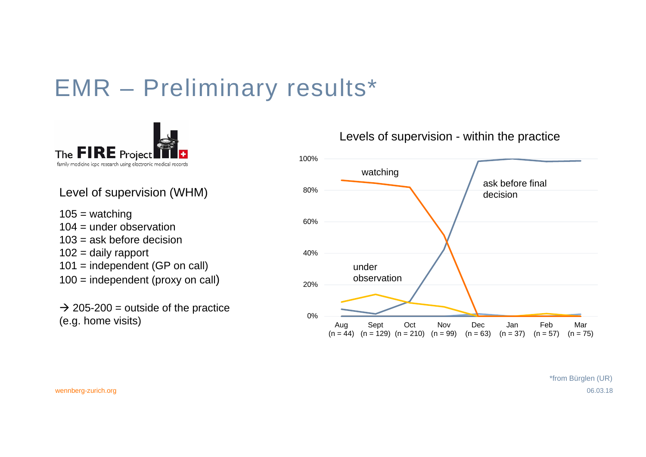## EMR – Preliminary results\*



Level of supervision (WHM)

 $105 =$  watching  $104 =$  under observation 103 = ask before decision  $102$  = daily rapport 101 = independent (GP on call) 100 = independent (proxy on call)

 $\rightarrow$  205-200 = outside of the practice (e.g. home visits)



Levels of supervision - within the practice

wennberg-zurich.org 06.03.18 \*from Bürglen (UR)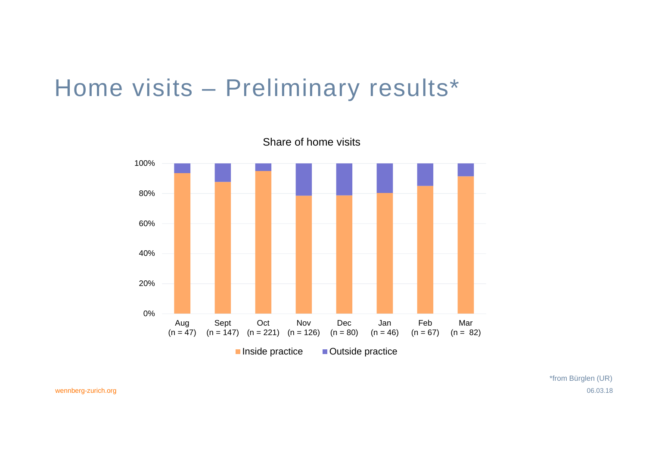### Home visits – Preliminary results\*



wennberg-zurich.org 06.03.18 \*from Bürglen (UR)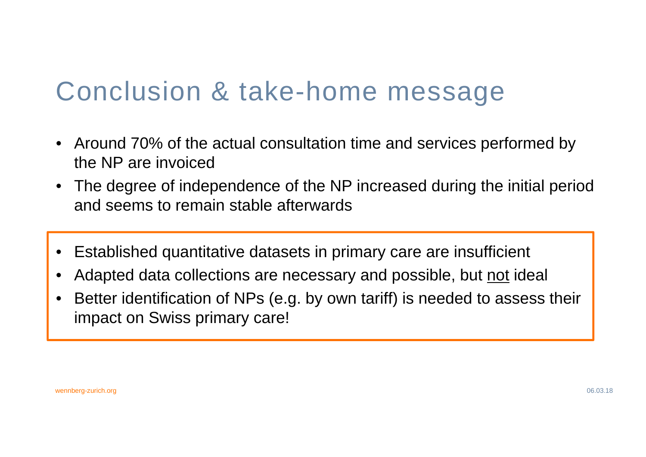## Conclusion & take-home message

- • Around 70% of the actual consultation time and services performed by the NP are invoiced
- The degree of independence of the NP increased during the initial period and seems to remain stable afterwards
- $\bullet$ Established quantitative datasets in primary care are insufficient
- •Adapted data collections are necessary and possible, but not ideal
- • Better identification of NPs (e.g. by own tariff) is needed to assess their impact on Swiss primary care!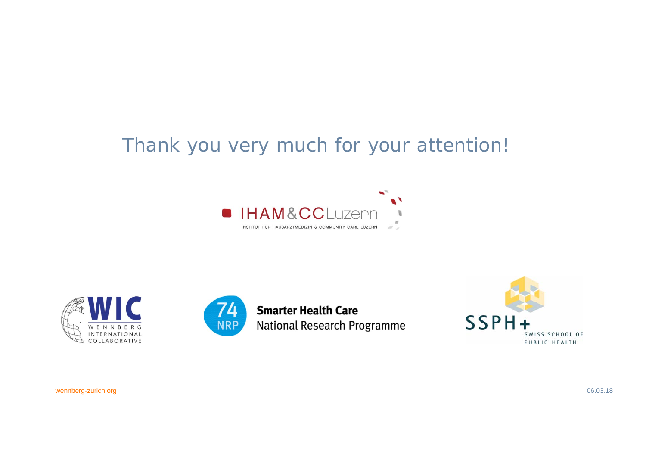### Thank you very much for your attention!









wennberg-zurich.org 06.03.18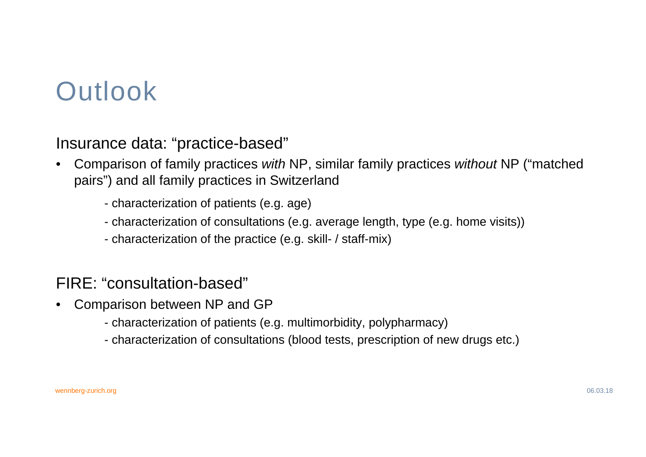# **Outlook**

Insurance data: "practice-based"

- • Comparison of family practices *with* NP, similar family practices *without* NP ("matched pairs") and all family practices in Switzerland
	- characterization of patients (e.g. age)
	- characterization of consultations (e.g. average length, type (e.g. home visits))
	- characterization of the practice (e.g. skill- / staff-mix)

#### FIRE: "consultation-based"

- • Comparison between NP and GP
	- characterization of patients (e.g. multimorbidity, polypharmacy)
	- characterization of consultations (blood tests, prescription of new drugs etc.)